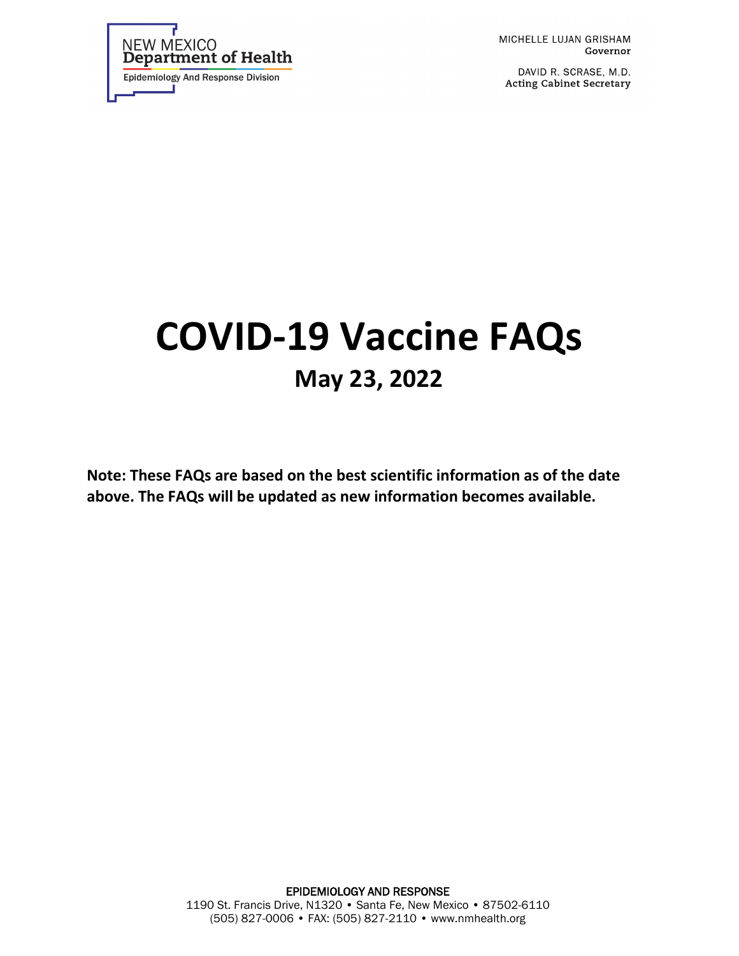

MICHELLE LUJAN GRISHAM Governor

DAVID R. SCRASE, M.D. **Acting Cabinet Secretary** 

# **COVID-19 Vaccine FAQs May 23, 2022**

**Note: These FAQs are based on the best scientific information as of the date above. The FAQs will be updated as new information becomes available.**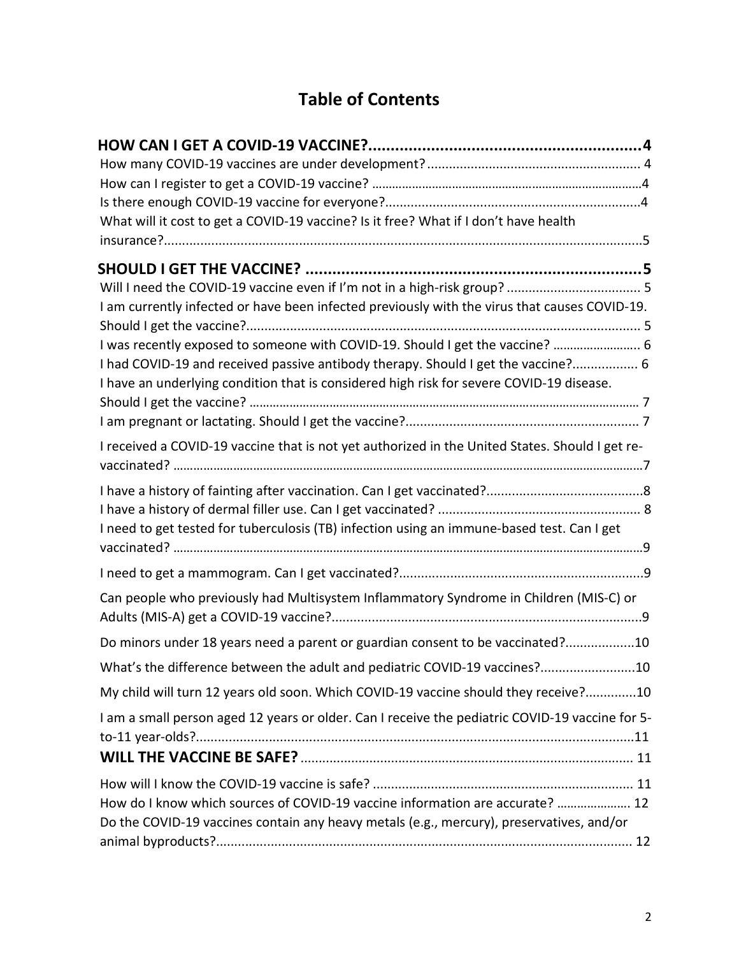# **Table of Contents**

| What will it cost to get a COVID-19 vaccine? Is it free? What if I don't have health            |  |
|-------------------------------------------------------------------------------------------------|--|
|                                                                                                 |  |
|                                                                                                 |  |
|                                                                                                 |  |
| I am currently infected or have been infected previously with the virus that causes COVID-19.   |  |
|                                                                                                 |  |
| I was recently exposed to someone with COVID-19. Should I get the vaccine?  6                   |  |
| I had COVID-19 and received passive antibody therapy. Should I get the vaccine? 6               |  |
| I have an underlying condition that is considered high risk for severe COVID-19 disease.        |  |
|                                                                                                 |  |
|                                                                                                 |  |
| I received a COVID-19 vaccine that is not yet authorized in the United States. Should I get re- |  |
|                                                                                                 |  |
|                                                                                                 |  |
| I need to get tested for tuberculosis (TB) infection using an immune-based test. Can I get      |  |
|                                                                                                 |  |
| Can people who previously had Multisystem Inflammatory Syndrome in Children (MIS-C) or          |  |
| Do minors under 18 years need a parent or guardian consent to be vaccinated?10                  |  |
| What's the difference between the adult and pediatric COVID-19 vaccines?10                      |  |
| My child will turn 12 years old soon. Which COVID-19 vaccine should they receive?10             |  |
| I am a small person aged 12 years or older. Can I receive the pediatric COVID-19 vaccine for 5- |  |
|                                                                                                 |  |
|                                                                                                 |  |
|                                                                                                 |  |
| How do I know which sources of COVID-19 vaccine information are accurate?  12                   |  |
| Do the COVID-19 vaccines contain any heavy metals (e.g., mercury), preservatives, and/or        |  |
|                                                                                                 |  |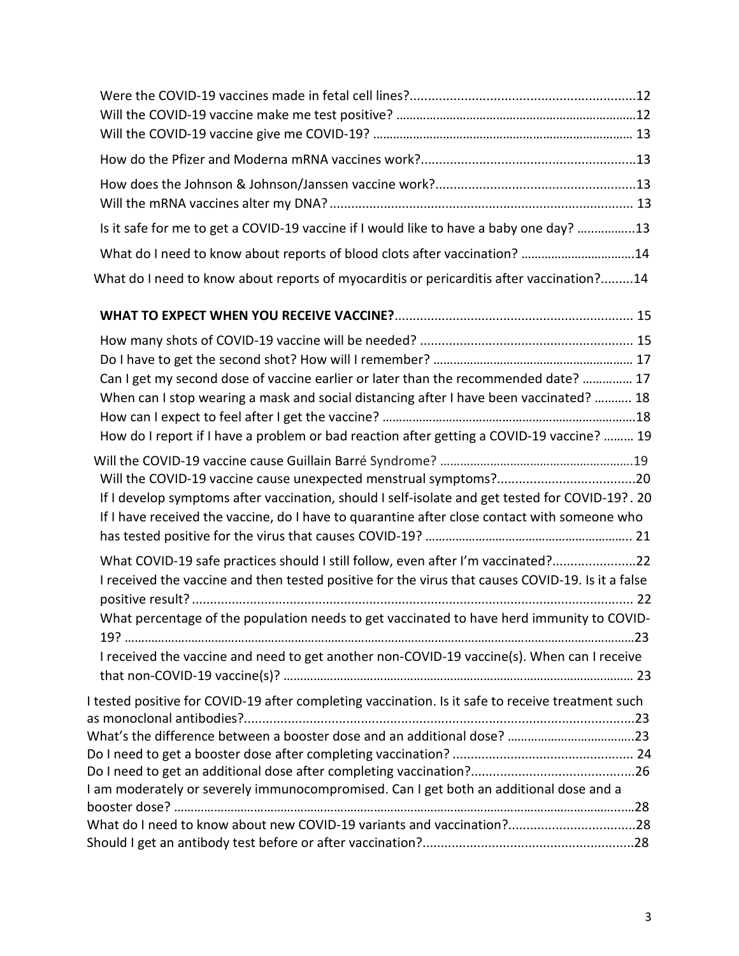| Is it safe for me to get a COVID-19 vaccine if I would like to have a baby one day? 13                                                                                                          |  |
|-------------------------------------------------------------------------------------------------------------------------------------------------------------------------------------------------|--|
| What do I need to know about reports of blood clots after vaccination? 14                                                                                                                       |  |
| What do I need to know about reports of myocarditis or pericarditis after vaccination?14                                                                                                        |  |
|                                                                                                                                                                                                 |  |
|                                                                                                                                                                                                 |  |
|                                                                                                                                                                                                 |  |
| Can I get my second dose of vaccine earlier or later than the recommended date?  17                                                                                                             |  |
| When can I stop wearing a mask and social distancing after I have been vaccinated?  18                                                                                                          |  |
|                                                                                                                                                                                                 |  |
| How do I report if I have a problem or bad reaction after getting a COVID-19 vaccine?  19                                                                                                       |  |
|                                                                                                                                                                                                 |  |
| If I develop symptoms after vaccination, should I self-isolate and get tested for COVID-19?. 20<br>If I have received the vaccine, do I have to quarantine after close contact with someone who |  |

| $\sim$ . That choose the table in a choice to span antino arter bibbe contact men context the |  |
|-----------------------------------------------------------------------------------------------|--|
|                                                                                               |  |

| What COVID-19 safe practices should I still follow, even after I'm vaccinated?22                  |  |
|---------------------------------------------------------------------------------------------------|--|
| I received the vaccine and then tested positive for the virus that causes COVID-19. Is it a false |  |
|                                                                                                   |  |
| What percentage of the population needs to get vaccinated to have herd immunity to COVID-         |  |
|                                                                                                   |  |
| I received the vaccine and need to get another non-COVID-19 vaccine(s). When can I receive        |  |
|                                                                                                   |  |
| I tested positive for COVID-19 after completing vaccination. Is it safe to receive treatment such |  |

as monoclonal antibodies?...........................................................................................................23 What's the difference between a booster dose and an additional dose? ………………………………..23 Do I need to get a booster dose after completing vaccination? .................................................. 24 Do I need to get an additional dose after completing vaccination?.............................................26 I am moderately or severely immunocompromised. Can I get both an additional dose and a booster dose? ……………………………………………………………………………………………………………………...…28 What do I need to know about new COVID-19 variants and vaccination?...................................28 Should I get an antibody test before or after vaccination?..........................................................28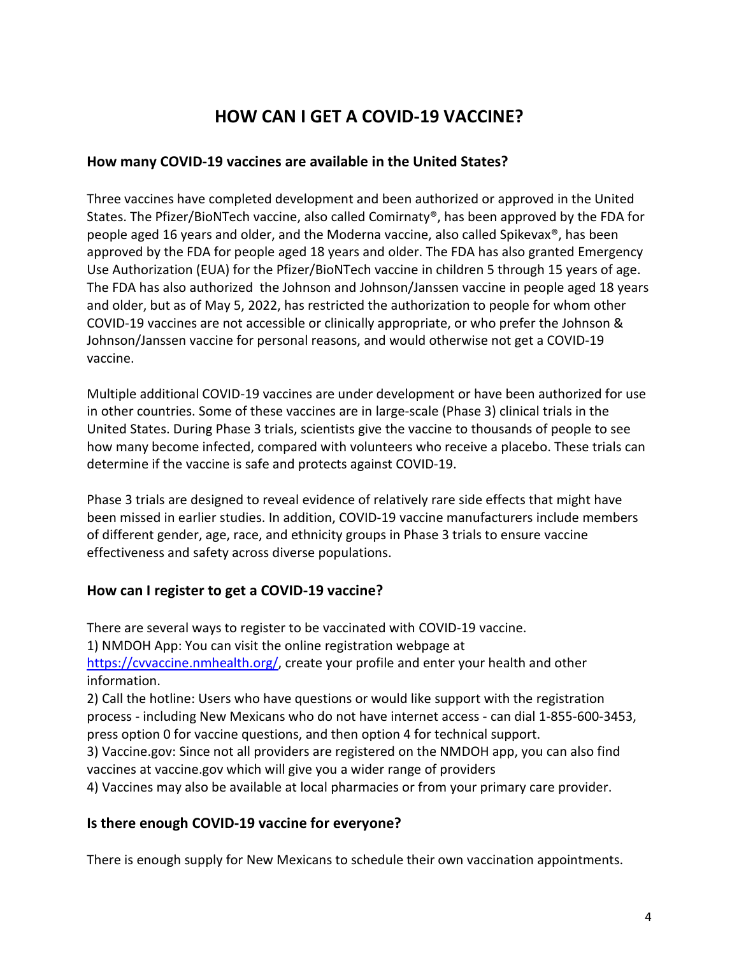# **HOW CAN I GET A COVID-19 VACCINE?**

#### **How many COVID-19 vaccines are available in the United States?**

Three vaccines have completed development and been authorized or approved in the United States. The Pfizer/BioNTech vaccine, also called Comirnaty®, has been approved by the FDA for people aged 16 years and older, and the Moderna vaccine, also called Spikevax®, has been approved by the FDA for people aged 18 years and older. The FDA has also granted Emergency Use Authorization (EUA) for the Pfizer/BioNTech vaccine in children 5 through 15 years of age. The FDA has also authorized the Johnson and Johnson/Janssen vaccine in people aged 18 years and older, but as of May 5, 2022, has restricted the authorization to people for whom other COVID-19 vaccines are not accessible or clinically appropriate, or who prefer the Johnson & Johnson/Janssen vaccine for personal reasons, and would otherwise not get a COVID-19 vaccine.

Multiple additional COVID-19 vaccines are under development or have been authorized for use in other countries. Some of these vaccines are in large-scale (Phase 3) clinical trials in the United States. During Phase 3 trials, scientists give the vaccine to thousands of people to see how many become infected, compared with volunteers who receive a placebo. These trials can determine if the vaccine is safe and protects against COVID-19.

Phase 3 trials are designed to reveal evidence of relatively rare side effects that might have been missed in earlier studies. In addition, COVID-19 vaccine manufacturers include members of different gender, age, race, and ethnicity groups in Phase 3 trials to ensure vaccine effectiveness and safety across diverse populations.

# **How can I register to get a COVID-19 vaccine?**

There are several ways to register to be vaccinated with COVID-19 vaccine. 1) NMDOH App: You can visit the online registration webpage at [https://cvvaccine.nmhealth.org/,](https://cvvaccine.nmhealth.org/) create your profile and enter your health and other information.

2) Call the hotline: Users who have questions or would like support with the registration process - including New Mexicans who do not have internet access - can dial 1-855-600-3453, press option 0 for vaccine questions, and then option 4 for technical support.

3) Vaccine.gov: Since not all providers are registered on the NMDOH app, you can also find vaccines at vaccine.gov which will give you a wider range of providers

4) Vaccines may also be available at local pharmacies or from your primary care provider.

#### **Is there enough COVID-19 vaccine for everyone?**

There is enough supply for New Mexicans to schedule their own vaccination appointments.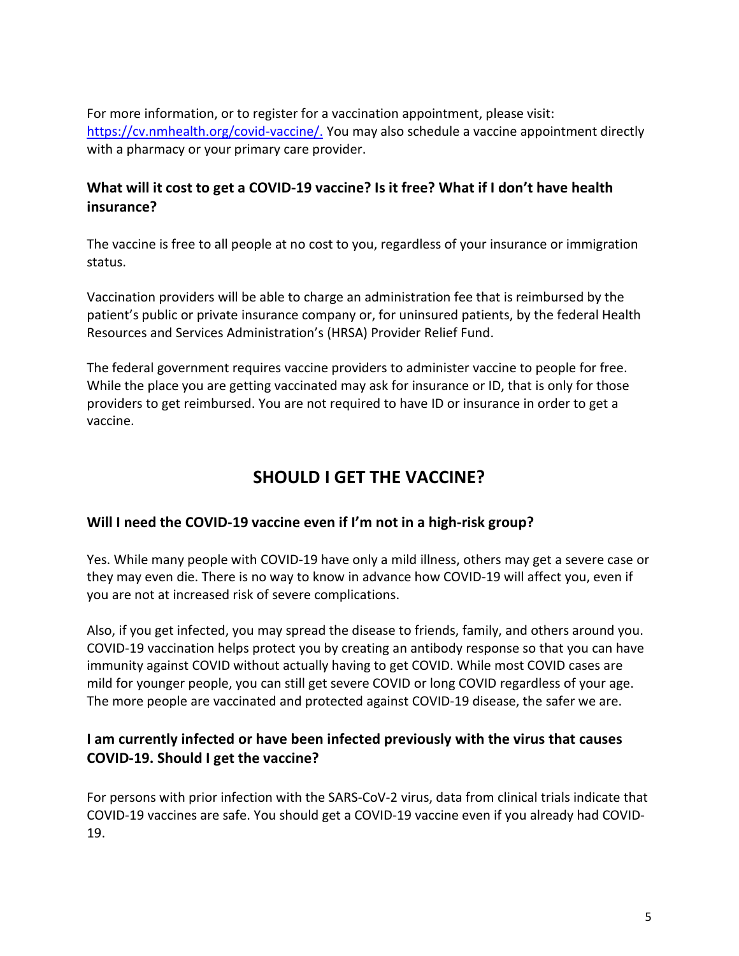For more information, or to register for a vaccination appointment, please visit: [https://cv.nmhealth.org/covid-vaccine/.](https://cv.nmhealth.org/covid-vaccine/) You may also schedule a vaccine appointment directly with a pharmacy or your primary care provider.

# **What will it cost to get a COVID-19 vaccine? Is it free? What if I don't have health insurance?**

The vaccine is free to all people at no cost to you, regardless of your insurance or immigration status.

Vaccination providers will be able to charge an administration fee that is reimbursed by the patient's public or private insurance company or, for uninsured patients, by the federal Health Resources and Services Administration's (HRSA) Provider Relief Fund.

The federal government requires vaccine providers to administer vaccine to people for free. While the place you are getting vaccinated may ask for insurance or ID, that is only for those providers to get reimbursed. You are not required to have ID or insurance in order to get a vaccine.

# **SHOULD I GET THE VACCINE?**

# **Will I need the COVID-19 vaccine even if I'm not in a high-risk group?**

Yes. While many people with COVID-19 have only a mild illness, others may get a severe case or they may even die. There is no way to know in advance how COVID-19 will affect you, even if you are not at increased risk of severe complications.

Also, if you get infected, you may spread the disease to friends, family, and others around you. COVID-19 vaccination helps protect you by creating an antibody response so that you can have immunity against COVID without actually having to get COVID. While most COVID cases are mild for younger people, you can still get severe COVID or long COVID regardless of your age. The more people are vaccinated and protected against COVID-19 disease, the safer we are.

# **I am currently infected or have been infected previously with the virus that causes COVID-19. Should I get the vaccine?**

For persons with prior infection with the SARS-CoV-2 virus, data from clinical trials indicate that COVID-19 vaccines are safe. You should get a COVID-19 vaccine even if you already had COVID-19.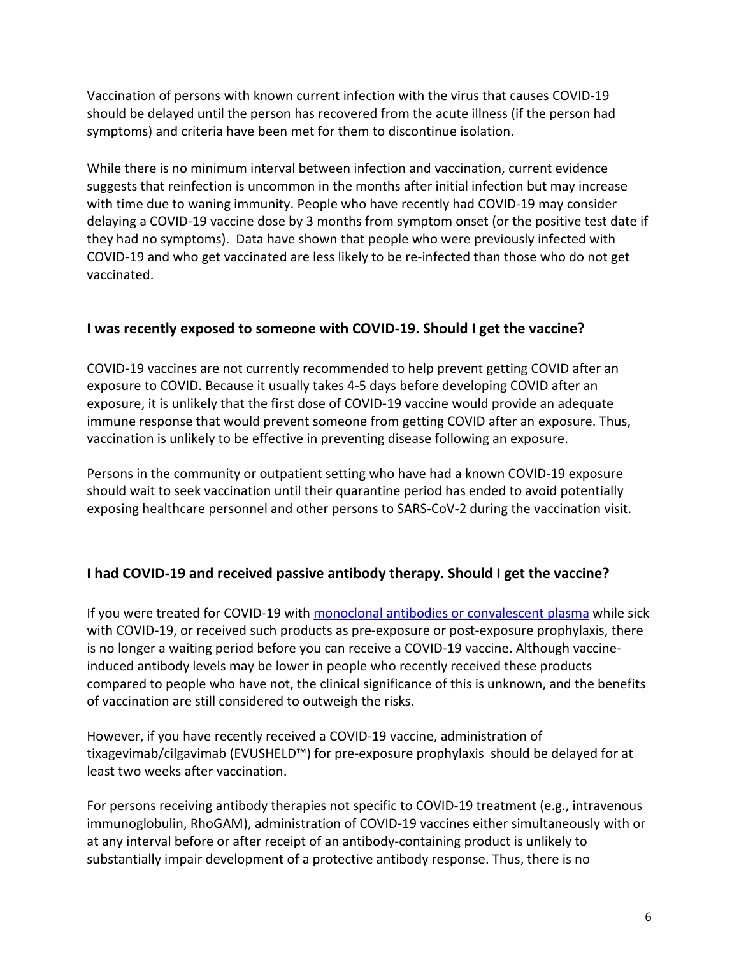Vaccination of persons with known current infection with the virus that causes COVID-19 should be delayed until the person has recovered from the acute illness (if the person had symptoms) and criteria have been met for them to discontinue isolation.

While there is no minimum interval between infection and vaccination, current evidence suggests that reinfection is uncommon in the months after initial infection but may increase with time due to waning immunity. People who have recently had COVID-19 may consider delaying a COVID-19 vaccine dose by 3 months from symptom onset (or the positive test date if they had no symptoms). Data have shown that people who were previously infected with COVID-19 and who get vaccinated are less likely to be re-infected than those who do not get vaccinated.

# **I was recently exposed to someone with COVID-19. Should I get the vaccine?**

COVID-19 vaccines are not currently recommended to help prevent getting COVID after an exposure to COVID. Because it usually takes 4-5 days before developing COVID after an exposure, it is unlikely that the first dose of COVID-19 vaccine would provide an adequate immune response that would prevent someone from getting COVID after an exposure. Thus, vaccination is unlikely to be effective in preventing disease following an exposure.

Persons in the community or outpatient setting who have had a known COVID-19 exposure should wait to seek vaccination until their quarantine period has ended to avoid potentially exposing healthcare personnel and other persons to SARS-CoV-2 during the vaccination visit.

# **I had COVID-19 and received passive antibody therapy. Should I get the vaccine?**

If you were treated for COVID-19 with [monoclonal antibodies or convalescent plasma](https://www.cdc.gov/vaccines/covid-19/clinical-considerations/covid-19-vaccines-us.html) while sick with COVID-19, or received such products as pre-exposure or post-exposure prophylaxis, there is no longer a waiting period before you can receive a COVID-19 vaccine. Although vaccineinduced antibody levels may be lower in people who recently received these products compared to people who have not, the clinical significance of this is unknown, and the benefits of vaccination are still considered to outweigh the risks.

However, if you have recently received a COVID-19 vaccine, administration of tixagevimab/cilgavimab (EVUSHELD™) for pre-exposure prophylaxis should be delayed for at least two weeks after vaccination.

For persons receiving antibody therapies not specific to COVID-19 treatment (e.g., intravenous immunoglobulin, RhoGAM), administration of COVID-19 vaccines either simultaneously with or at any interval before or after receipt of an antibody-containing product is unlikely to substantially impair development of a protective antibody response. Thus, there is no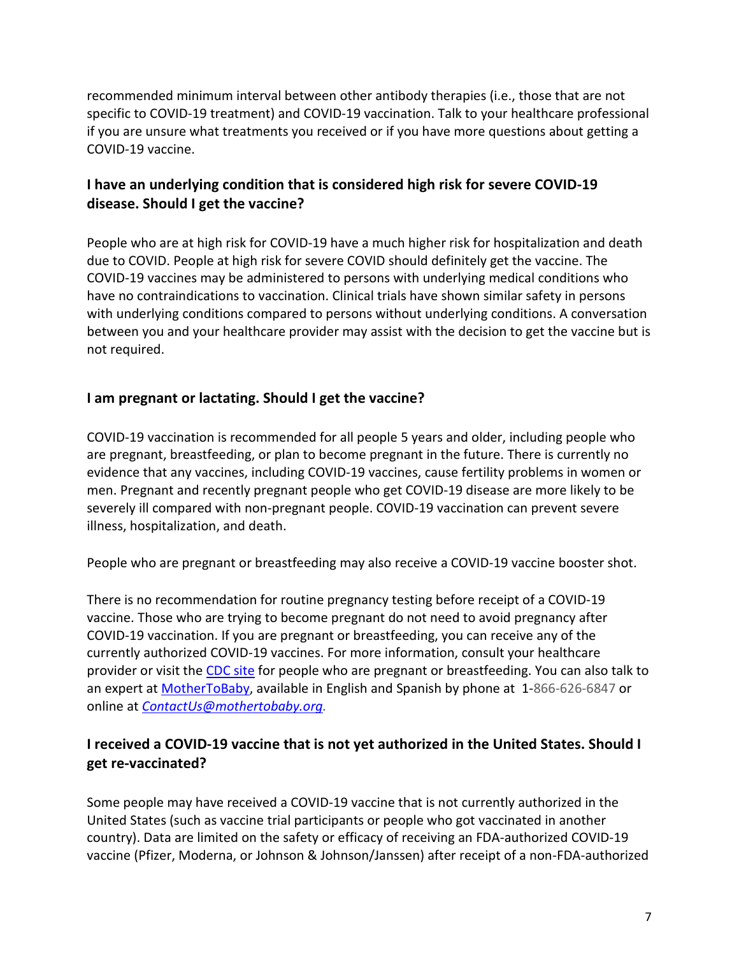recommended minimum interval between other antibody therapies (i.e., those that are not specific to COVID-19 treatment) and COVID-19 vaccination. Talk to your healthcare professional if you are unsure what treatments you received or if you have more questions about getting a COVID-19 vaccine.

# **I have an underlying condition that is considered high risk for severe COVID-19 disease. Should I get the vaccine?**

People who are at high risk for COVID-19 have a much higher risk for hospitalization and death due to COVID. People at high risk for severe COVID should definitely get the vaccine. The COVID-19 vaccines may be administered to persons with underlying medical conditions who have no contraindications to vaccination. Clinical trials have shown similar safety in persons with underlying conditions compared to persons without underlying conditions. A conversation between you and your healthcare provider may assist with the decision to get the vaccine but is not required.

# **I am pregnant or lactating. Should I get the vaccine?**

COVID-19 vaccination is recommended for all people 5 years and older, including people who are pregnant, breastfeeding, or plan to become pregnant in the future. There is currently no evidence that any vaccines, including COVID-19 vaccines, cause fertility problems in women or men. Pregnant and recently pregnant people who get COVID-19 disease are more likely to be severely ill compared with non-pregnant people. COVID-19 vaccination can prevent severe illness, hospitalization, and death.

People who are pregnant or breastfeeding may also receive a COVID-19 vaccine booster shot.

There is no recommendation for routine pregnancy testing before receipt of a COVID-19 vaccine. Those who are trying to become pregnant do not need to avoid pregnancy after COVID-19 vaccination. If you are pregnant or breastfeeding, you can receive any of the currently authorized COVID-19 vaccines. For more information, consult your healthcare provider or visit th[e CDC site](https://www.cdc.gov/coronavirus/2019-ncov/vaccines/recommendations/pregnancy.html) for people who are pregnant or breastfeeding. You can also talk to an expert at [MotherToBaby,](https://mothertobaby.org/ask-an-expert/) available in English and Spanish by phone at 1-866-626-6847 or online at *[ContactUs@mothertobaby.org.](mailto:ContactUs@mothertobaby.org)*

# **I received a COVID-19 vaccine that is not yet authorized in the United States. Should I get re-vaccinated?**

Some people may have received a COVID-19 vaccine that is not currently authorized in the United States (such as vaccine trial participants or people who got vaccinated in another country). Data are limited on the safety or efficacy of receiving an FDA-authorized COVID-19 vaccine (Pfizer, Moderna, or Johnson & Johnson/Janssen) after receipt of a non-FDA-authorized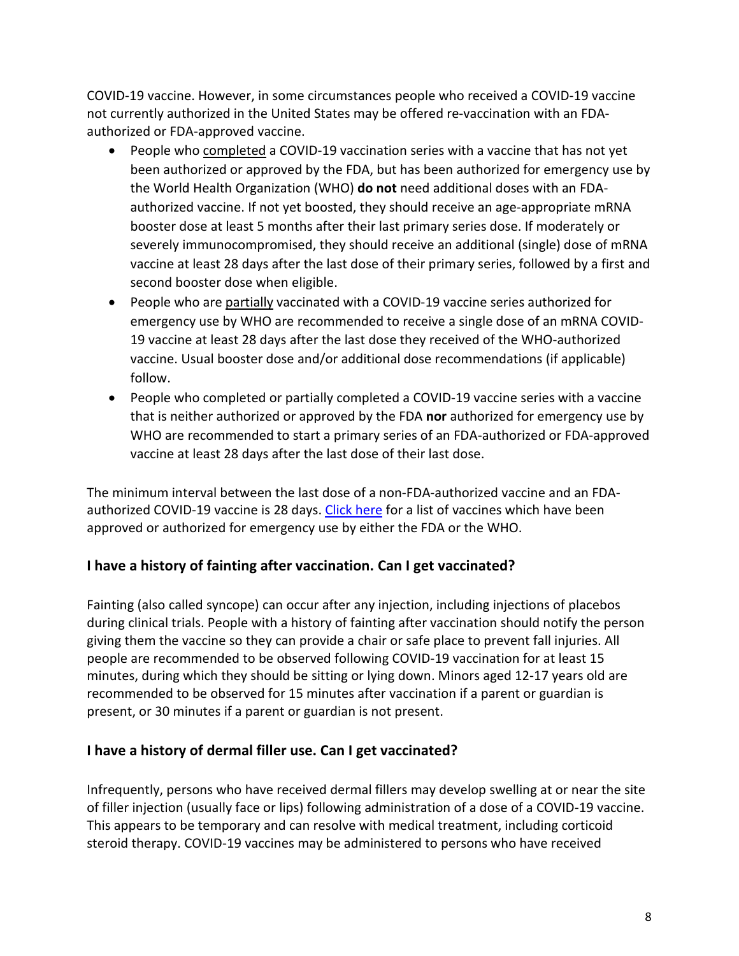COVID-19 vaccine. However, in some circumstances people who received a COVID-19 vaccine not currently authorized in the United States may be offered re-vaccination with an FDAauthorized or FDA-approved vaccine.

- People who completed a COVID-19 vaccination series with a vaccine that has not yet been authorized or approved by the FDA, but has been authorized for emergency use by the World Health Organization (WHO) **do not** need additional doses with an FDAauthorized vaccine. If not yet boosted, they should receive an age-appropriate mRNA booster dose at least 5 months after their last primary series dose. If moderately or severely immunocompromised, they should receive an additional (single) dose of mRNA vaccine at least 28 days after the last dose of their primary series, followed by a first and second booster dose when eligible.
- People who are partially vaccinated with a COVID-19 vaccine series authorized for emergency use by WHO are recommended to receive a single dose of an mRNA COVID-19 vaccine at least 28 days after the last dose they received of the WHO-authorized vaccine. Usual booster dose and/or additional dose recommendations (if applicable) follow.
- People who completed or partially completed a COVID-19 vaccine series with a vaccine that is neither authorized or approved by the FDA **nor** authorized for emergency use by WHO are recommended to start a primary series of an FDA-authorized or FDA-approved vaccine at least 28 days after the last dose of their last dose.

The minimum interval between the last dose of a non-FDA-authorized vaccine and an FDA-authorized COVID-19 vaccine is 28 days. [Click here](https://www.cdc.gov/coronavirus/2019-ncov/travelers/proof-of-vaccination.html) for a list of vaccines which have been approved or authorized for emergency use by either the FDA or the WHO.

# **I have a history of fainting after vaccination. Can I get vaccinated?**

Fainting (also called syncope) can occur after any injection, including injections of placebos during clinical trials. People with a history of fainting after vaccination should notify the person giving them the vaccine so they can provide a chair or safe place to prevent fall injuries. All people are recommended to be observed following COVID-19 vaccination for at least 15 minutes, during which they should be sitting or lying down. Minors aged 12-17 years old are recommended to be observed for 15 minutes after vaccination if a parent or guardian is present, or 30 minutes if a parent or guardian is not present.

# **I have a history of dermal filler use. Can I get vaccinated?**

Infrequently, persons who have received dermal fillers may develop swelling at or near the site of filler injection (usually face or lips) following administration of a dose of a COVID-19 vaccine. This appears to be temporary and can resolve with medical treatment, including corticoid steroid therapy. COVID-19 vaccines may be administered to persons who have received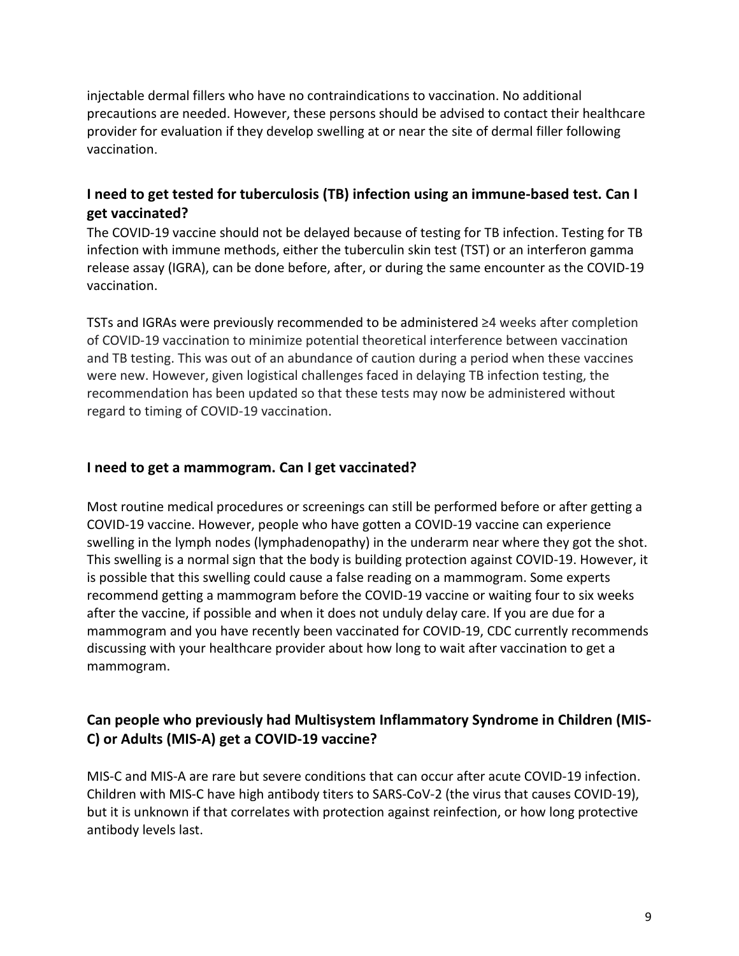injectable dermal fillers who have no contraindications to vaccination. No additional precautions are needed. However, these persons should be advised to contact their healthcare provider for evaluation if they develop swelling at or near the site of dermal filler following vaccination.

# **I need to get tested for tuberculosis (TB) infection using an immune-based test. Can I get vaccinated?**

The COVID-19 vaccine should not be delayed because of testing for TB infection. Testing for TB infection with immune methods, either the tuberculin skin test (TST) or an interferon gamma release assay (IGRA), can be done before, after, or during the same encounter as the COVID-19 vaccination.

TSTs and IGRAs were previously recommended to be administered ≥4 weeks after completion of COVID-19 vaccination to minimize potential theoretical interference between vaccination and TB testing. This was out of an abundance of caution during a period when these vaccines were new. However, given logistical challenges faced in delaying TB infection testing, the recommendation has been updated so that these tests may now be administered without regard to timing of COVID-19 vaccination.

#### **I need to get a mammogram. Can I get vaccinated?**

Most routine medical procedures or screenings can still be performed before or after getting a COVID-19 vaccine. However, people who have gotten a COVID-19 vaccine can experience swelling in the lymph nodes (lymphadenopathy) in the underarm near where they got the shot. This swelling is a normal sign that the body is building protection against COVID-19. However, it is possible that this swelling could cause a false reading on a mammogram. Some experts recommend getting a mammogram before the COVID-19 vaccine or waiting four to six weeks after the vaccine, if possible and when it does not unduly delay care. If you are due for a mammogram and you have recently been vaccinated for COVID-19, CDC currently recommends discussing with your healthcare provider about how long to wait after vaccination to get a mammogram.

# **Can people who previously had Multisystem Inflammatory Syndrome in Children (MIS-C) or Adults (MIS-A) get a COVID-19 vaccine?**

MIS-C and MIS-A are rare but severe conditions that can occur after acute COVID-19 infection. Children with MIS-C have high antibody titers to SARS-CoV-2 (the virus that causes COVID-19), but it is unknown if that correlates with protection against reinfection, or how long protective antibody levels last.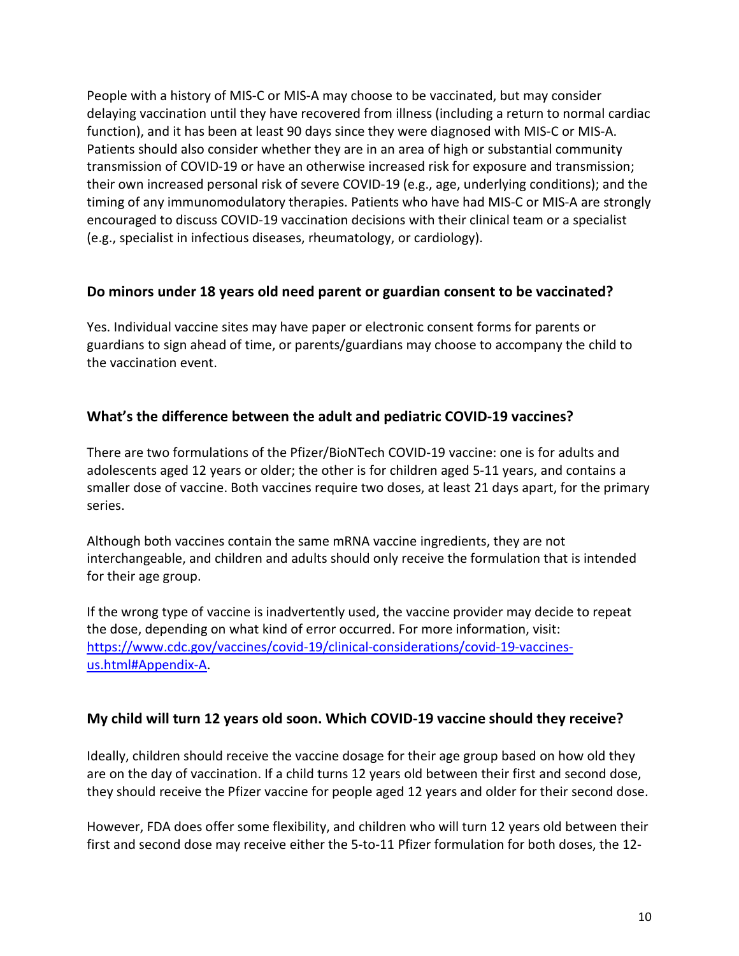People with a history of MIS-C or MIS-A may choose to be vaccinated, but may consider delaying vaccination until they have recovered from illness (including a return to normal cardiac function), and it has been at least 90 days since they were diagnosed with MIS-C or MIS-A. Patients should also consider whether they are in an area of high or substantial community transmission of COVID-19 or have an otherwise increased risk for exposure and transmission; their own increased personal risk of severe COVID-19 (e.g., age, underlying conditions); and the timing of any immunomodulatory therapies. Patients who have had MIS-C or MIS-A are strongly encouraged to discuss COVID-19 vaccination decisions with their clinical team or a specialist (e.g., specialist in infectious diseases, rheumatology, or cardiology).

# **Do minors under 18 years old need parent or guardian consent to be vaccinated?**

Yes. Individual vaccine sites may have paper or electronic consent forms for parents or guardians to sign ahead of time, or parents/guardians may choose to accompany the child to the vaccination event.

# **What's the difference between the adult and pediatric COVID-19 vaccines?**

There are two formulations of the Pfizer/BioNTech COVID-19 vaccine: one is for adults and adolescents aged 12 years or older; the other is for children aged 5-11 years, and contains a smaller dose of vaccine. Both vaccines require two doses, at least 21 days apart, for the primary series.

Although both vaccines contain the same mRNA vaccine ingredients, they are not interchangeable, and children and adults should only receive the formulation that is intended for their age group.

If the wrong type of vaccine is inadvertently used, the vaccine provider may decide to repeat the dose, depending on what kind of error occurred. For more information, visit: [https://www.cdc.gov/vaccines/covid-19/clinical-considerations/covid-19-vaccines](https://www.cdc.gov/vaccines/covid-19/clinical-considerations/covid-19-vaccines-us.html#Appendix-A)[us.html#Appendix-A.](https://www.cdc.gov/vaccines/covid-19/clinical-considerations/covid-19-vaccines-us.html#Appendix-A)

#### **My child will turn 12 years old soon. Which COVID-19 vaccine should they receive?**

Ideally, children should receive the vaccine dosage for their age group based on how old they are on the day of vaccination. If a child turns 12 years old between their first and second dose, they should receive the Pfizer vaccine for people aged 12 years and older for their second dose.

However, FDA does offer some flexibility, and children who will turn 12 years old between their first and second dose may receive either the 5-to-11 Pfizer formulation for both doses, the 12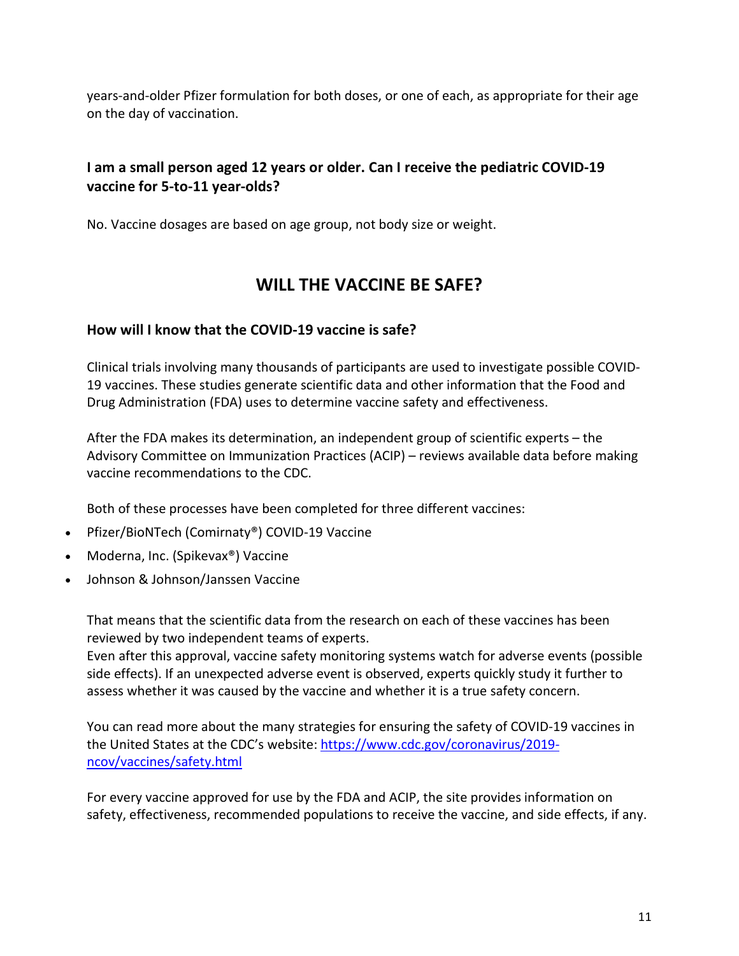years-and-older Pfizer formulation for both doses, or one of each, as appropriate for their age on the day of vaccination.

# **I am a small person aged 12 years or older. Can I receive the pediatric COVID-19 vaccine for 5-to-11 year-olds?**

No. Vaccine dosages are based on age group, not body size or weight.

# **WILL THE VACCINE BE SAFE?**

#### **How will I know that the COVID-19 vaccine is safe?**

Clinical trials involving many thousands of participants are used to investigate possible COVID-19 vaccines. These studies generate scientific data and other information that the Food and Drug Administration (FDA) uses to determine vaccine safety and effectiveness.

After the FDA makes its determination, an independent group of scientific experts – the Advisory Committee on Immunization Practices (ACIP) – reviews available data before making vaccine recommendations to the CDC.

Both of these processes have been completed for three different vaccines:

- Pfizer/BioNTech (Comirnaty®) COVID-19 Vaccine
- Moderna, Inc. (Spikevax®) Vaccine
- Johnson & Johnson/Janssen Vaccine

That means that the scientific data from the research on each of these vaccines has been reviewed by two independent teams of experts.

Even after this approval, vaccine safety monitoring systems watch for adverse events (possible side effects). If an unexpected adverse event is observed, experts quickly study it further to assess whether it was caused by the vaccine and whether it is a true safety concern.

You can read more about the many strategies for ensuring the safety of COVID-19 vaccines in the United States at the CDC's website: [https://www.cdc.gov/coronavirus/2019](https://www.cdc.gov/coronavirus/2019-ncov/vaccines/safety.html) [ncov/vaccines/safety.html](https://www.cdc.gov/coronavirus/2019-ncov/vaccines/safety.html)

For every vaccine approved for use by the FDA and ACIP, the site provides information on safety, effectiveness, recommended populations to receive the vaccine, and side effects, if any.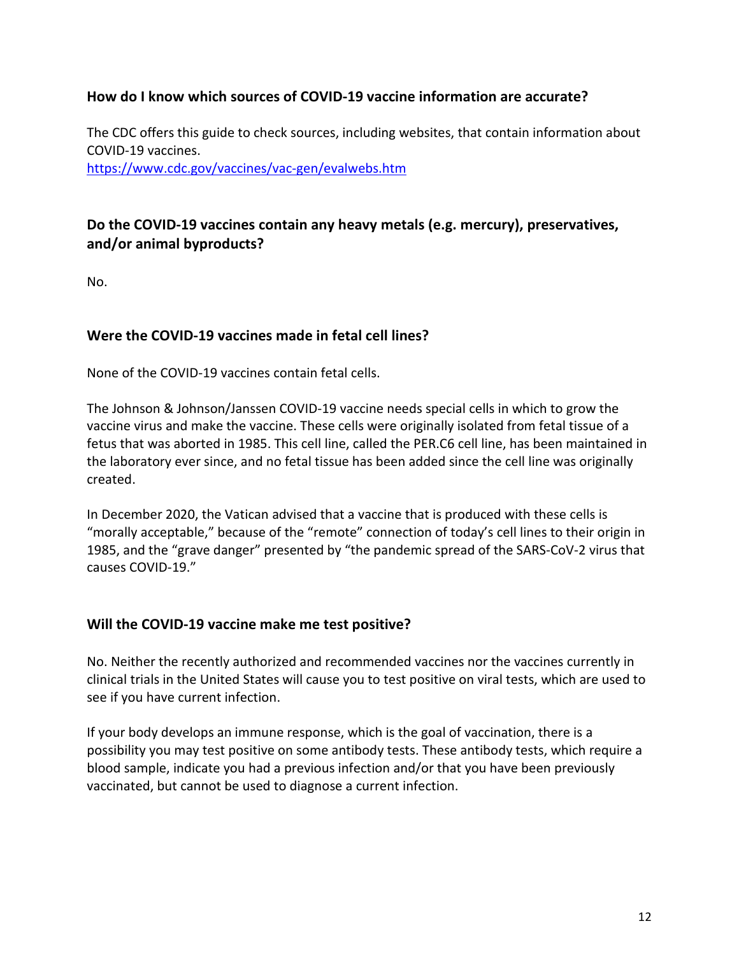#### **How do I know which sources of COVID-19 vaccine information are accurate?**

The CDC offers this guide to check sources, including websites, that contain information about COVID-19 vaccines.

<https://www.cdc.gov/vaccines/vac-gen/evalwebs.htm>

# **Do the COVID-19 vaccines contain any heavy metals (e.g. mercury), preservatives, and/or animal byproducts?**

No.

#### **Were the COVID-19 vaccines made in fetal cell lines?**

None of the COVID-19 vaccines contain fetal cells.

The Johnson & Johnson/Janssen COVID-19 vaccine needs special cells in which to grow the vaccine virus and make the vaccine. These cells were originally isolated from fetal tissue of a fetus that was aborted in 1985. This cell line, called the PER.C6 cell line, has been maintained in the laboratory ever since, and no fetal tissue has been added since the cell line was originally created.

In December 2020, the Vatican advised that a vaccine that is produced with these cells is "morally acceptable," because of the "remote" connection of today's cell lines to their origin in 1985, and the "grave danger" presented by "the pandemic spread of the SARS-CoV-2 virus that causes COVID-19."

#### **Will the COVID-19 vaccine make me test positive?**

No. Neither the recently authorized and recommended vaccines nor the vaccines currently in clinical trials in the United States will cause you to test positive on viral tests, which are used to see if you have current infection.

If your body develops an immune response, which is the goal of vaccination, there is a possibility you may test positive on some antibody tests. These antibody tests, which require a blood sample, indicate you had a previous infection and/or that you have been previously vaccinated, but cannot be used to diagnose a current infection.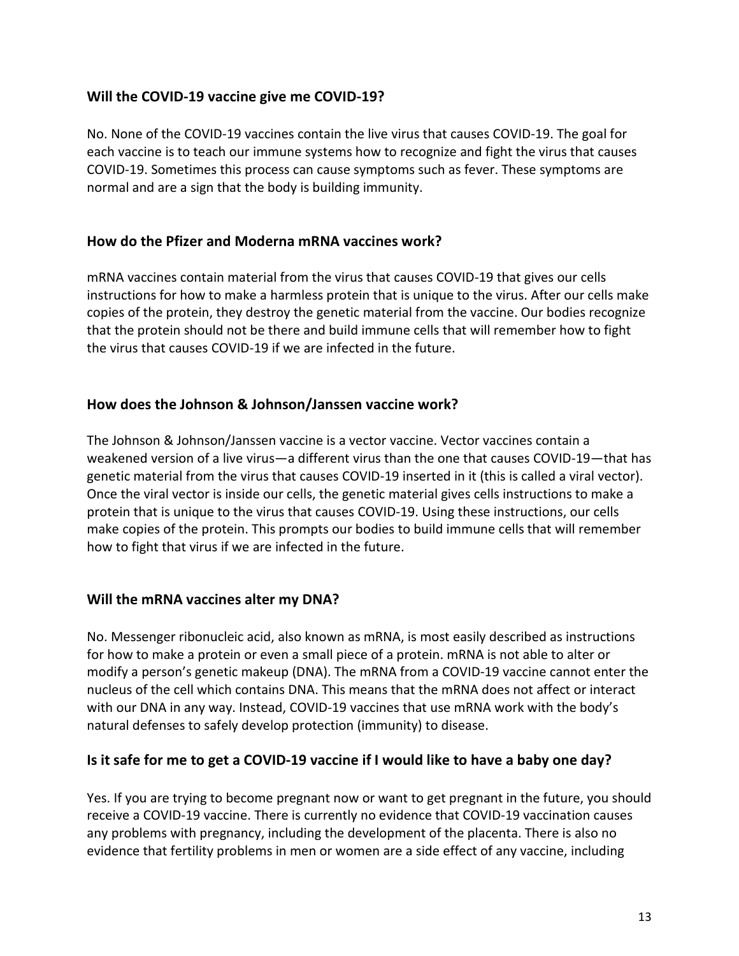#### **Will the COVID-19 vaccine give me COVID-19?**

No. None of the COVID-19 vaccines contain the live virus that causes COVID-19. The goal for each vaccine is to teach our immune systems how to recognize and fight the virus that causes COVID-19. Sometimes this process can cause symptoms such as fever. These symptoms are normal and are a sign that the body is building immunity.

#### **How do the Pfizer and Moderna mRNA vaccines work?**

mRNA vaccines contain material from the virus that causes COVID-19 that gives our cells instructions for how to make a harmless protein that is unique to the virus. After our cells make copies of the protein, they destroy the genetic material from the vaccine. Our bodies recognize that the protein should not be there and build immune cells that will remember how to fight the virus that causes COVID-19 if we are infected in the future.

#### **How does the Johnson & Johnson/Janssen vaccine work?**

The Johnson & Johnson/Janssen vaccine is a vector vaccine. Vector vaccines contain a weakened version of a live virus—a different virus than the one that causes COVID-19—that has genetic material from the virus that causes COVID-19 inserted in it (this is called a viral vector). Once the viral vector is inside our cells, the genetic material gives cells instructions to make a protein that is unique to the virus that causes COVID-19. Using these instructions, our cells make copies of the protein. This prompts our bodies to build immune cells that will remember how to fight that virus if we are infected in the future.

# **Will the mRNA vaccines alter my DNA?**

No. Messenger ribonucleic acid, also known as mRNA, is most easily described as instructions for how to make a protein or even a small piece of a protein. mRNA is not able to alter or modify a person's genetic makeup (DNA). The mRNA from a COVID-19 vaccine cannot enter the nucleus of the cell which contains DNA. This means that the mRNA does not affect or interact with our DNA in any way. Instead, COVID-19 vaccines that use mRNA work with the body's natural defenses to safely develop protection (immunity) to disease.

# **Is it safe for me to get a COVID-19 vaccine if I would like to have a baby one day?**

Yes. If you are trying to become pregnant now or want to get pregnant in the future, you should receive a COVID-19 vaccine. There is currently no evidence that COVID-19 vaccination causes any problems with pregnancy, including the development of the placenta. There is also no evidence that fertility problems in men or women are a side effect of any vaccine, including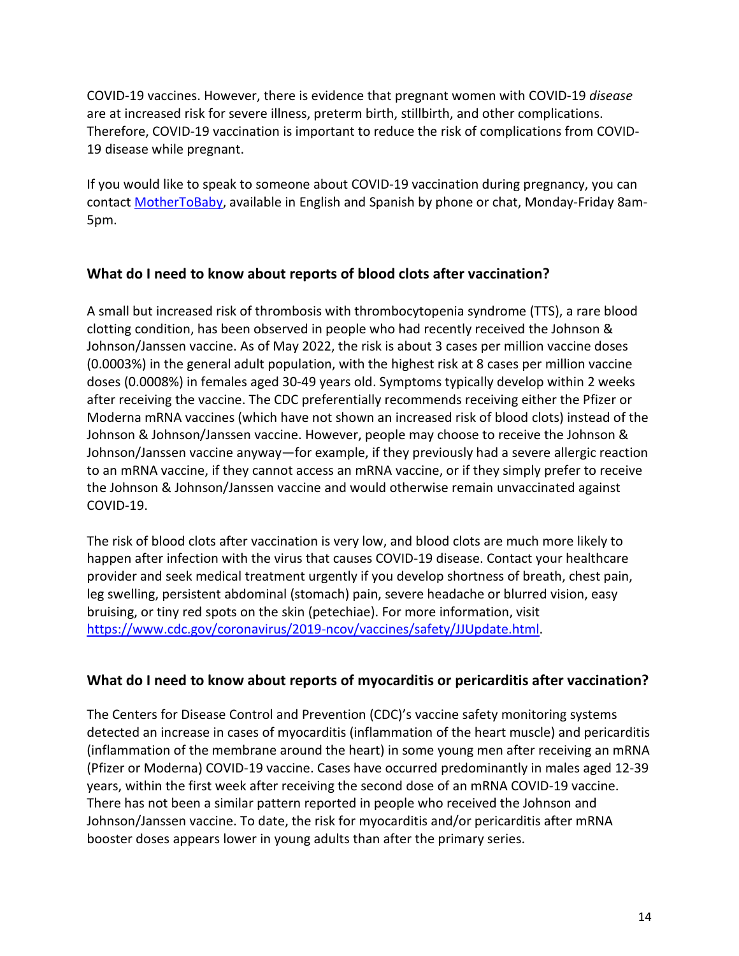COVID-19 vaccines. However, there is evidence that pregnant women with COVID-19 *disease* are at increased risk for severe illness, preterm birth, stillbirth, and other complications. Therefore, COVID-19 vaccination is important to reduce the risk of complications from COVID-19 disease while pregnant.

If you would like to speak to someone about COVID-19 vaccination during pregnancy, you can contact [MotherToBaby,](https://mothertobaby.org/ask-an-expert/) available in English and Spanish by phone or chat, Monday-Friday 8am-5pm.

#### **What do I need to know about reports of blood clots after vaccination?**

A small but increased risk of thrombosis with thrombocytopenia syndrome (TTS), a rare blood clotting condition, has been observed in people who had recently received the Johnson & Johnson/Janssen vaccine. As of May 2022, the risk is about 3 cases per million vaccine doses (0.0003%) in the general adult population, with the highest risk at 8 cases per million vaccine doses (0.0008%) in females aged 30-49 years old. Symptoms typically develop within 2 weeks after receiving the vaccine. The CDC preferentially recommends receiving either the Pfizer or Moderna mRNA vaccines (which have not shown an increased risk of blood clots) instead of the Johnson & Johnson/Janssen vaccine. However, people may choose to receive the Johnson & Johnson/Janssen vaccine anyway—for example, if they previously had a severe allergic reaction to an mRNA vaccine, if they cannot access an mRNA vaccine, or if they simply prefer to receive the Johnson & Johnson/Janssen vaccine and would otherwise remain unvaccinated against COVID-19.

The risk of blood clots after vaccination is very low, and blood clots are much more likely to happen after infection with the virus that causes COVID-19 disease. Contact your healthcare provider and seek medical treatment urgently if you develop shortness of breath, chest pain, leg swelling, persistent abdominal (stomach) pain, severe headache or blurred vision, easy bruising, or tiny red spots on the skin (petechiae). For more information, visit [https://www.cdc.gov/coronavirus/2019-ncov/vaccines/safety/JJUpdate.html.](https://www.cdc.gov/coronavirus/2019-ncov/vaccines/safety/JJUpdate.html)

#### **What do I need to know about reports of myocarditis or pericarditis after vaccination?**

The Centers for Disease Control and Prevention (CDC)'s vaccine safety monitoring systems detected an increase in cases of myocarditis (inflammation of the heart muscle) and pericarditis (inflammation of the membrane around the heart) in some young men after receiving an mRNA (Pfizer or Moderna) COVID-19 vaccine. Cases have occurred predominantly in males aged 12-39 years, within the first week after receiving the second dose of an mRNA COVID-19 vaccine. There has not been a similar pattern reported in people who received the Johnson and Johnson/Janssen vaccine. To date, the risk for myocarditis and/or pericarditis after mRNA booster doses appears lower in young adults than after the primary series.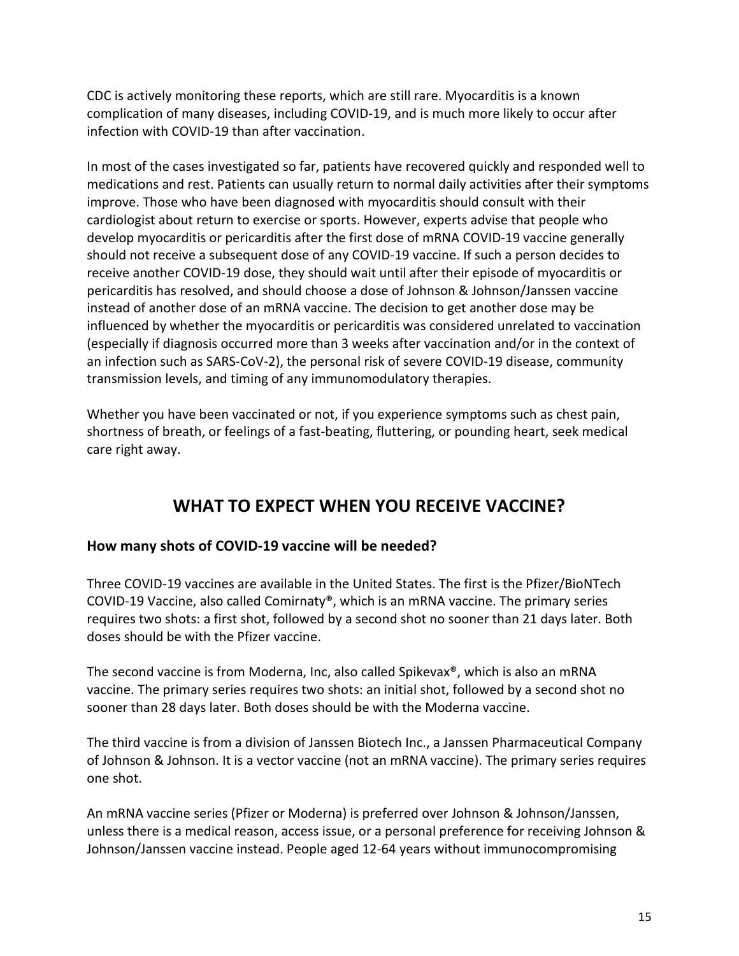CDC is actively monitoring these reports, which are still rare. Myocarditis is a known complication of many diseases, including COVID-19, and is much more likely to occur after infection with COVID-19 than after vaccination.

In most of the cases investigated so far, patients have recovered quickly and responded well to medications and rest. Patients can usually return to normal daily activities after their symptoms improve. Those who have been diagnosed with myocarditis should consult with their cardiologist about return to exercise or sports. However, experts advise that people who develop myocarditis or pericarditis after the first dose of mRNA COVID-19 vaccine generally should not receive a subsequent dose of any COVID-19 vaccine. If such a person decides to receive another COVID-19 dose, they should wait until after their episode of myocarditis or pericarditis has resolved, and should choose a dose of Johnson & Johnson/Janssen vaccine instead of another dose of an mRNA vaccine. The decision to get another dose may be influenced by whether the myocarditis or pericarditis was considered unrelated to vaccination (especially if diagnosis occurred more than 3 weeks after vaccination and/or in the context of an infection such as SARS-CoV-2), the personal risk of severe COVID-19 disease, community transmission levels, and timing of any immunomodulatory therapies.

Whether you have been vaccinated or not, if you experience symptoms such as chest pain, shortness of breath, or feelings of a fast-beating, fluttering, or pounding heart, seek medical care right away.

# **WHAT TO EXPECT WHEN YOU RECEIVE VACCINE?**

# **How many shots of COVID-19 vaccine will be needed?**

Three COVID-19 vaccines are available in the United States. The first is the Pfizer/BioNTech COVID-19 Vaccine, also called Comirnaty®, which is an mRNA vaccine. The primary series requires two shots: a first shot, followed by a second shot no sooner than 21 days later. Both doses should be with the Pfizer vaccine.

The second vaccine is from Moderna, Inc, also called Spikevax®, which is also an mRNA vaccine. The primary series requires two shots: an initial shot, followed by a second shot no sooner than 28 days later. Both doses should be with the Moderna vaccine.

The third vaccine is from a division of Janssen Biotech Inc., a Janssen Pharmaceutical Company of Johnson & Johnson. It is a vector vaccine (not an mRNA vaccine). The primary series requires one shot.

An mRNA vaccine series (Pfizer or Moderna) is preferred over Johnson & Johnson/Janssen, unless there is a medical reason, access issue, or a personal preference for receiving Johnson & Johnson/Janssen vaccine instead. People aged 12-64 years without immunocompromising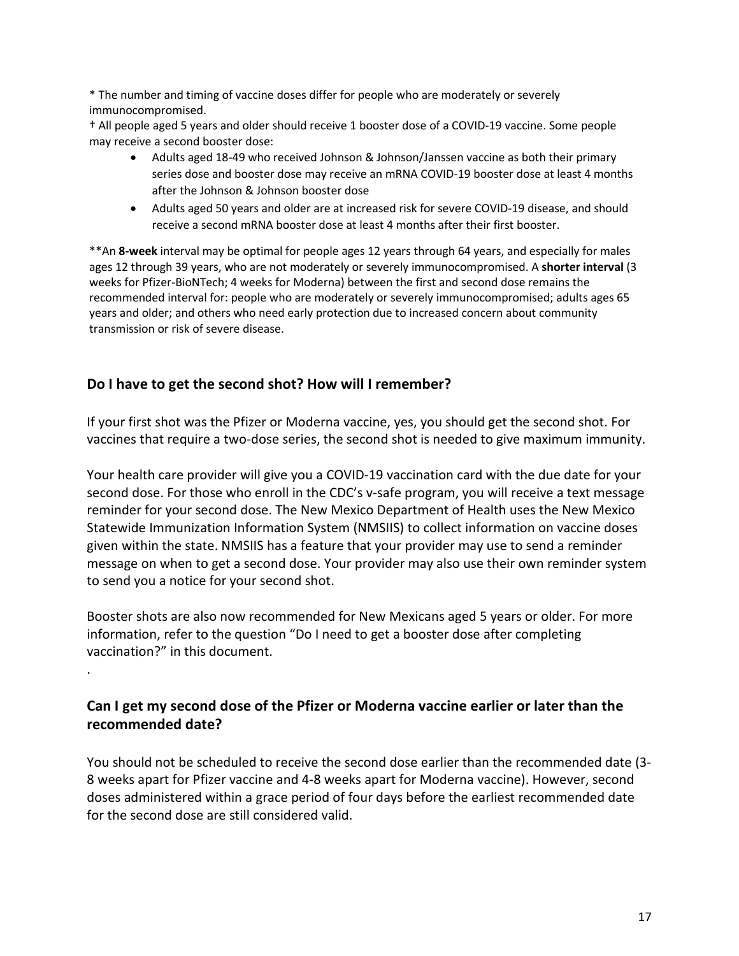For more information, or to register for a vaccination appointment, please visit: https://cv.nmhealth.org/covid-vaccine/. You may also schedule a vaccine appointment directly with a pharmacy or your primary care provider.

What will it cost to get a COVHD9 vaccine? Is free? What if I don't have health insurance?

The vaccine is free to all people at no cost to you, regardless of your insurance or immigration status.

Vaccination providers will be able to charge an administration fee that is reimbursed by the patient's public or private insurance company or, for uninsured patients, by the federal Health Resources and Services Administration's (HRSA) Provider Relief Fund.

The federal government requires vaccine providers to administer vaccine to people for free. While the place you are getting vaccinated may ask for insurance or ID, that is only for those providers to get reimbursed. You are not required to have ID or insurance in order to get a vaccine.

# **SHOULD I GET THE VACCINE?**

Will I need the COVID9 vaccine even if I'm not in a hightisk group?

Yes. While many people with COVID-19 have only a mild illness, others may get a severe case or they may even die. There is no way to know in advance how COVID-19 will affect you, even if you are not at increased risk of severe complications.

Also, if you get infected, you may spread the disease to friends, family, and others around you. COVID-19 vaccination helps protect you by creating an antibody response so that you can have immunity against COVID without actually having to get COVID. While most COVID cases are mild for younger people, you can still get severe COVID or long COVID regardless of your age. The more people are vaccinated and protected against COVID-19 disease, the safer we are.

I am currently infected or have been infected previously with the virus that causes COVID19. Should I get the vaccine?

For persons with prior infection with the SARS-CoV-2 virus, data from clinical trials indicate that COVID-19 vaccines are safe. You should get a COVID-19 vaccine even if you already had COVID-19.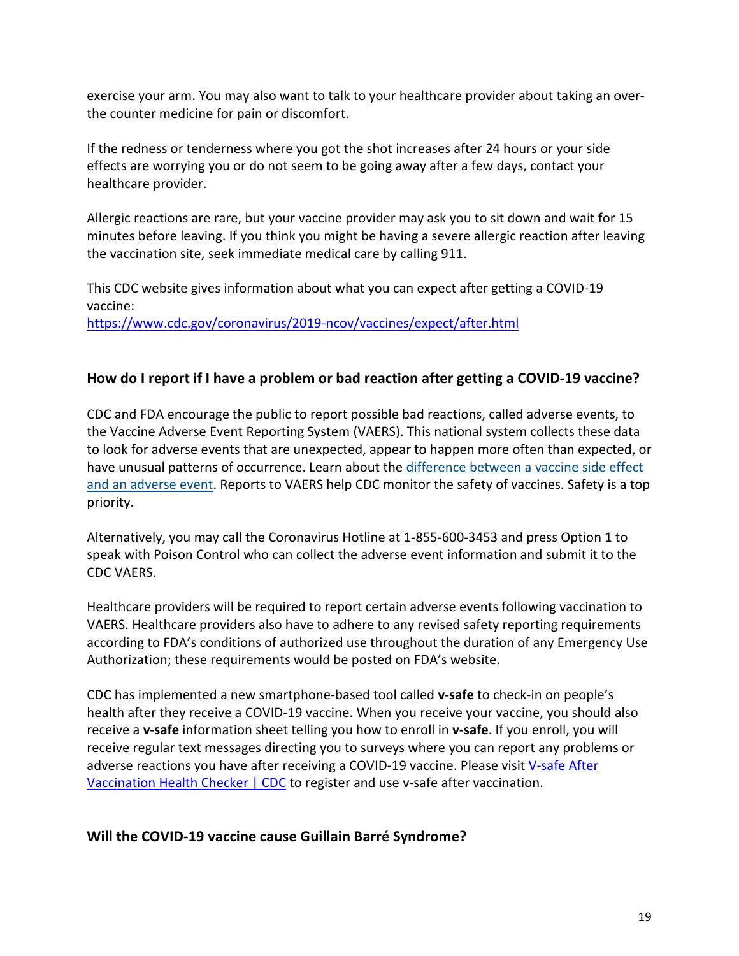exercise your arm. You may also want to talk to your healthcare provider about taking an overthe counter medicine for pain or discomfort.

If the redness or tenderness where you got the shot increases after 24 hours or your side effects are worrying you or do not seem to be going away after a few days, contact your healthcare provider.

Allergic reactions are rare, but your vaccine provider may ask you to sit down and wait for 15 minutes before leaving. If you think you might be having a severe allergic reaction after leaving the vaccination site, seek immediate medical care by calling 911.

This CDC website gives information about what you can expect after getting a COVID-19 vaccine: <https://www.cdc.gov/coronavirus/2019-ncov/vaccines/expect/after.html>

#### **How do I report if I have a problem or bad reaction after getting a COVID-19 vaccine?**

CDC and FDA encourage the public to report possible bad reactions, called adverse events, to the Vaccine Adverse Event Reporting System (VAERS). This national system collects these data to look for adverse events that are unexpected, appear to happen more often than expected, or have unusual patterns of occurrence. Learn about the [difference between a vaccine side effect](https://www.cdc.gov/vaccinesafety/ensuringsafety/sideeffects/index.html)  [and an adverse event.](https://www.cdc.gov/vaccinesafety/ensuringsafety/sideeffects/index.html) Reports to VAERS help CDC monitor the safety of vaccines. Safety is a top priority.

Alternatively, you may call the Coronavirus Hotline at 1-855-600-3453 and press Option 1 to speak with Poison Control who can collect the adverse event information and submit it to the CDC VAERS.

Healthcare providers will be required to report certain adverse events following vaccination to VAERS. Healthcare providers also have to adhere to any revised safety reporting requirements according to FDA's conditions of authorized use throughout the duration of any Emergency Use Authorization; these requirements would be posted on FDA's website.

CDC has implemented a new smartphone-based tool called **v-safe** to check-in on people's health after they receive a COVID-19 vaccine. When you receive your vaccine, you should also receive a **v-safe** information sheet telling you how to enroll in **v-safe**. If you enroll, you will receive regular text messages directing you to surveys where you can report any problems or adverse reactions you have after receiving a COVID-19 vaccine. Please visit [V-safe After](https://www.cdc.gov/coronavirus/2019-ncov/vaccines/safety/vsafe.html)  [Vaccination Health Checker | CDC](https://www.cdc.gov/coronavirus/2019-ncov/vaccines/safety/vsafe.html) to register and use v-safe after vaccination.

# **Will the COVID-19 vaccine cause Guillain Barré Syndrome?**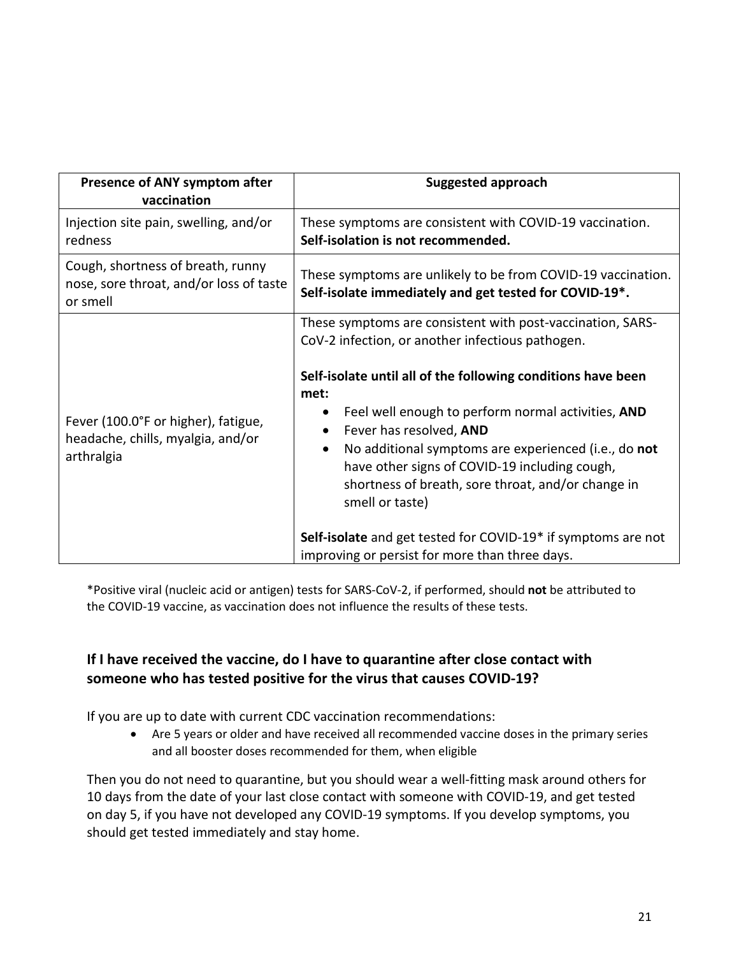| Presence of ANY symptom after<br>vaccination                                             | <b>Suggested approach</b>                                                                                                                                                                                                                                                                                                                                                                                                                                                                                                                                                                              |  |
|------------------------------------------------------------------------------------------|--------------------------------------------------------------------------------------------------------------------------------------------------------------------------------------------------------------------------------------------------------------------------------------------------------------------------------------------------------------------------------------------------------------------------------------------------------------------------------------------------------------------------------------------------------------------------------------------------------|--|
| Injection site pain, swelling, and/or<br>redness                                         | These symptoms are consistent with COVID-19 vaccination.<br>Self-isolation is not recommended.                                                                                                                                                                                                                                                                                                                                                                                                                                                                                                         |  |
| Cough, shortness of breath, runny<br>nose, sore throat, and/or loss of taste<br>or smell | These symptoms are unlikely to be from COVID-19 vaccination.<br>Self-isolate immediately and get tested for COVID-19*.                                                                                                                                                                                                                                                                                                                                                                                                                                                                                 |  |
| Fever (100.0°F or higher), fatigue,<br>headache, chills, myalgia, and/or<br>arthralgia   | These symptoms are consistent with post-vaccination, SARS-<br>CoV-2 infection, or another infectious pathogen.<br>Self-isolate until all of the following conditions have been<br>met:<br>Feel well enough to perform normal activities, AND<br>$\bullet$<br>Fever has resolved, AND<br>No additional symptoms are experienced (i.e., do not<br>$\bullet$<br>have other signs of COVID-19 including cough,<br>shortness of breath, sore throat, and/or change in<br>smell or taste)<br>Self-isolate and get tested for COVID-19* if symptoms are not<br>improving or persist for more than three days. |  |

\*Positive viral (nucleic acid or antigen) tests for SARS-CoV-2, if performed, should **not** be attributed to the COVID-19 vaccine, as vaccination does not influence the results of these tests.

# **If I have received the vaccine, do I have to quarantine after close contact with someone who has tested positive for the virus that causes COVID-19?**

If you are up to date with current CDC vaccination recommendations:

• Are 5 years or older and have received all recommended vaccine doses in the primary series and all booster doses recommended for them, when eligible

Then you do not need to quarantine, but you should wear a well-fitting mask around others for 10 days from the date of your last close contact with someone with COVID-19, and get tested on day 5, if you have not developed any COVID-19 symptoms. If you develop symptoms, you should get tested immediately and stay home.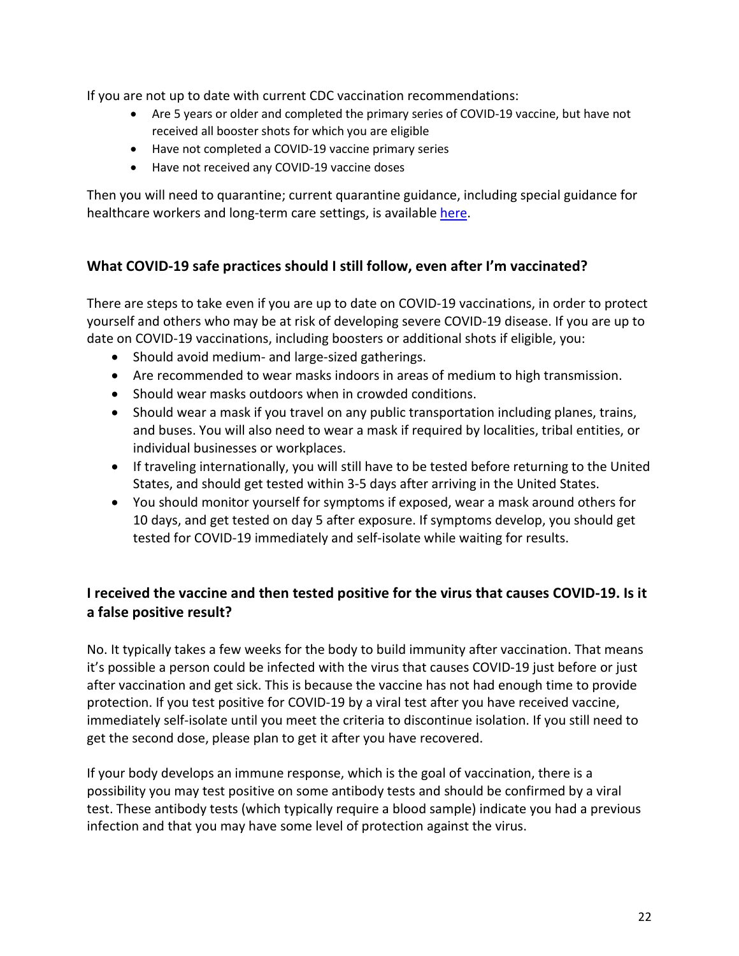# **HOW CAN I GET A COVID-19 VACCINE?**

#### How many COVID-19 vaccines are available in the United States?

Three vaccines have completed development and been authorized or approved in the United States. The Pfizer/BioNTech vaccine, also called Comirnaty®, has been approved by the FDA for people aged 16 years and older, and the Moderna vaccine, also called Spikevax®, has been approved by the FDA for people aged 18 years and older. The FDA has also granted Emergency Use Authorization (EUA) for the Pfizer/BioNTech vaccine in children 5 through 15 years of age. The FDA has also authorized the Johnson and Johnson/Janssen vaccine in people aged 18 years and older, but as of May 5, 2022, has restricted the authorization to people for whom other COVID-19 vaccines are not accessible or clinically appropriate, or who prefer the Johnson & Johnson/Janssen vaccine for personal reasons, and would otherwise not get a COVID-19 vaccine.

Multiple additional COVID-19 vaccines are under development or have been authorized for use in other countries. Some of these vaccines are in large-scale (Phase 3) clinical trials in the United States. During Phase 3 trials, scientists give the vaccine to thousands of people to see how many become infected, compared with volunteers who receive a placebo. These trials can determine if the vaccine is safe and protects against COVID-19.

Phase 3 trials are designed to reveal evidence of relatively rare side effects that might have been missed in earlier studies. In addition, COVID-19 vaccine manufacturers include members of different gender, age, race, and ethnicity groups in Phase 3 trials to ensure vaccine effectiveness and safety across diverse populations.

# How can I register to get a COVID-19 vaccine?

There are several ways to register to be vaccinated with COVID-19 vaccine. 1) NMDOH App: You can visit the online registration webpage at https://cvvaccine.nmhealth.org/, create your profile and enter your health and other information.

2) Call the hotline: Users who have questions or would like support with the registration process - including New Mexicans who do not have internet access - can dial 1-855-600-3453, press option 0 for vaccine questions, and then option 4 for technical support.

3) Vaccine.gov: Since not all providers are registered on the NMDOH app, you can also find vaccines at vaccine.gov which will give you a wider range of providers

4) Vaccines may also be available at local pharmacies or from your primary care provider.

#### Is there enough COVID-19 vaccine for everyone?

There is enough supply for New Mexicans to schedule their own vaccination appointments.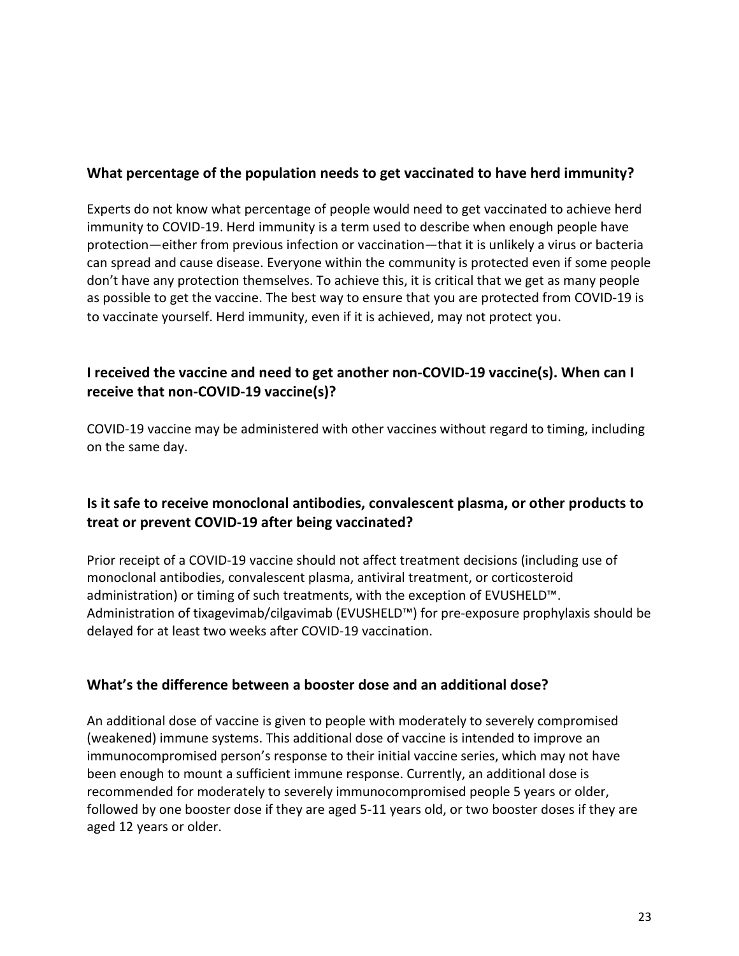### **What percentage of the population needs to get vaccinated to have herd immunity?**

Experts do not know what percentage of people would need to get vaccinated to achieve herd immunity to COVID-19. Herd immunity is a term used to describe when enough people have protection—either from previous infection or vaccination—that it is unlikely a virus or bacteria can spread and cause disease. Everyone within the community is protected even if some people don't have any protection themselves. To achieve this, it is critical that we get as many people as possible to get the vaccine. The best way to ensure that you are protected from COVID-19 is to vaccinate yourself. Herd immunity, even if it is achieved, may not protect you.

# **I received the vaccine and need to get another non-COVID-19 vaccine(s). When can I receive that non-COVID-19 vaccine(s)?**

COVID-19 vaccine may be administered with other vaccines without regard to timing, including on the same day.

# **Is it safe to receive monoclonal antibodies, convalescent plasma, or other products to treat or prevent COVID-19 after being vaccinated?**

Prior receipt of a COVID-19 vaccine should not affect treatment decisions (including use of monoclonal antibodies, convalescent plasma, antiviral treatment, or corticosteroid administration) or timing of such treatments, with the exception of EVUSHELD™. Administration of tixagevimab/cilgavimab (EVUSHELD™) for pre-exposure prophylaxis should be delayed for at least two weeks after COVID-19 vaccination.

#### **What's the difference between a booster dose and an additional dose?**

An additional dose of vaccine is given to people with moderately to severely compromised (weakened) immune systems. This additional dose of vaccine is intended to improve an immunocompromised person's response to their initial vaccine series, which may not have been enough to mount a sufficient immune response. Currently, an additional dose is recommended for moderately to severely immunocompromised people 5 years or older, followed by one booster dose if they are aged 5-11 years old, or two booster doses if they are aged 12 years or older.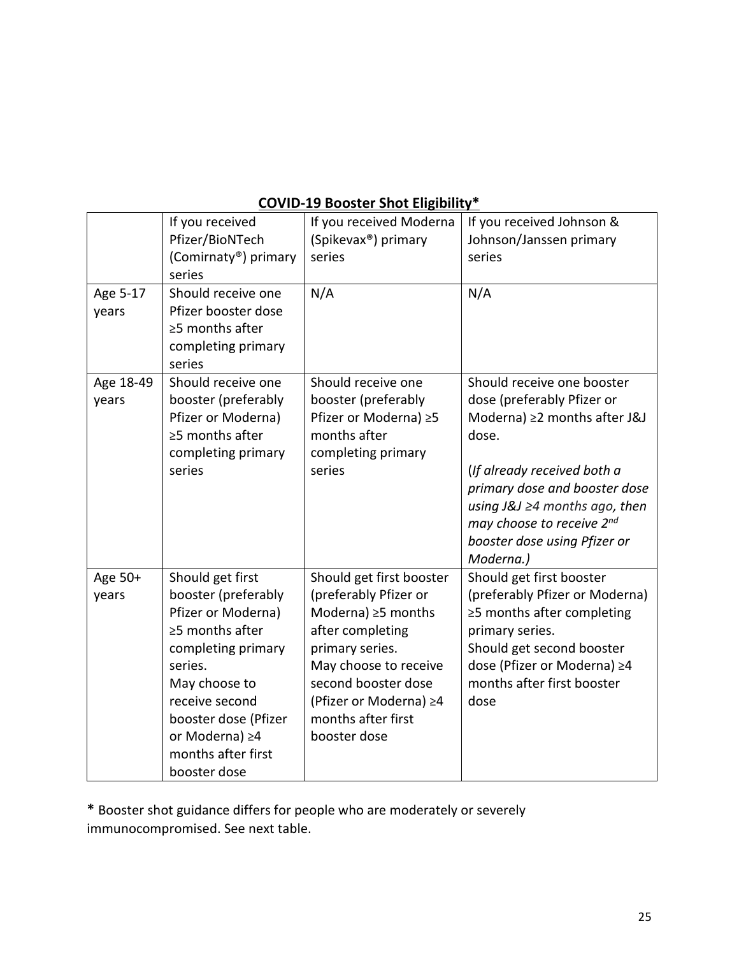# **COVID-19 Booster Shot Eligibility\***

| Age 5-17<br>years  | If you received<br>Pfizer/BioNTech<br>(Comirnaty®) primary<br>series<br>Should receive one<br>Pfizer booster dose                                                                                                                          | If you received Moderna<br>(Spikevax <sup>®</sup> ) primary<br>series<br>N/A                                                                                                                                                         | If you received Johnson &<br>Johnson/Janssen primary<br>series<br>N/A                                                                                                                                                                                                              |
|--------------------|--------------------------------------------------------------------------------------------------------------------------------------------------------------------------------------------------------------------------------------------|--------------------------------------------------------------------------------------------------------------------------------------------------------------------------------------------------------------------------------------|------------------------------------------------------------------------------------------------------------------------------------------------------------------------------------------------------------------------------------------------------------------------------------|
|                    | ≥5 months after<br>completing primary<br>series                                                                                                                                                                                            |                                                                                                                                                                                                                                      |                                                                                                                                                                                                                                                                                    |
| Age 18-49<br>years | Should receive one<br>booster (preferably<br>Pfizer or Moderna)<br>≥5 months after<br>completing primary<br>series                                                                                                                         | Should receive one<br>booster (preferably<br>Pfizer or Moderna) ≥5<br>months after<br>completing primary<br>series                                                                                                                   | Should receive one booster<br>dose (preferably Pfizer or<br>Moderna) ≥2 months after J&J<br>dose.<br>(If already received both a<br>primary dose and booster dose<br>using $J&J \geq 4$ months ago, then<br>may choose to receive 2nd<br>booster dose using Pfizer or<br>Moderna.) |
| Age 50+<br>years   | Should get first<br>booster (preferably<br>Pfizer or Moderna)<br>$\geq$ 5 months after<br>completing primary<br>series.<br>May choose to<br>receive second<br>booster dose (Pfizer<br>or Moderna) ≥4<br>months after first<br>booster dose | Should get first booster<br>(preferably Pfizer or<br>Moderna) $\geq$ 5 months<br>after completing<br>primary series.<br>May choose to receive<br>second booster dose<br>(Pfizer or Moderna) ≥4<br>months after first<br>booster dose | Should get first booster<br>(preferably Pfizer or<br>Moderna) $\geq$ 2 months after<br>completing primary series.<br>Should get second booster<br>dose (Pfizer or Moderna) ≥4<br>months after first booster<br>dose                                                                |

**\*** Booster shot guidance differs for people who are moderately or severely immunocompromised. See next table.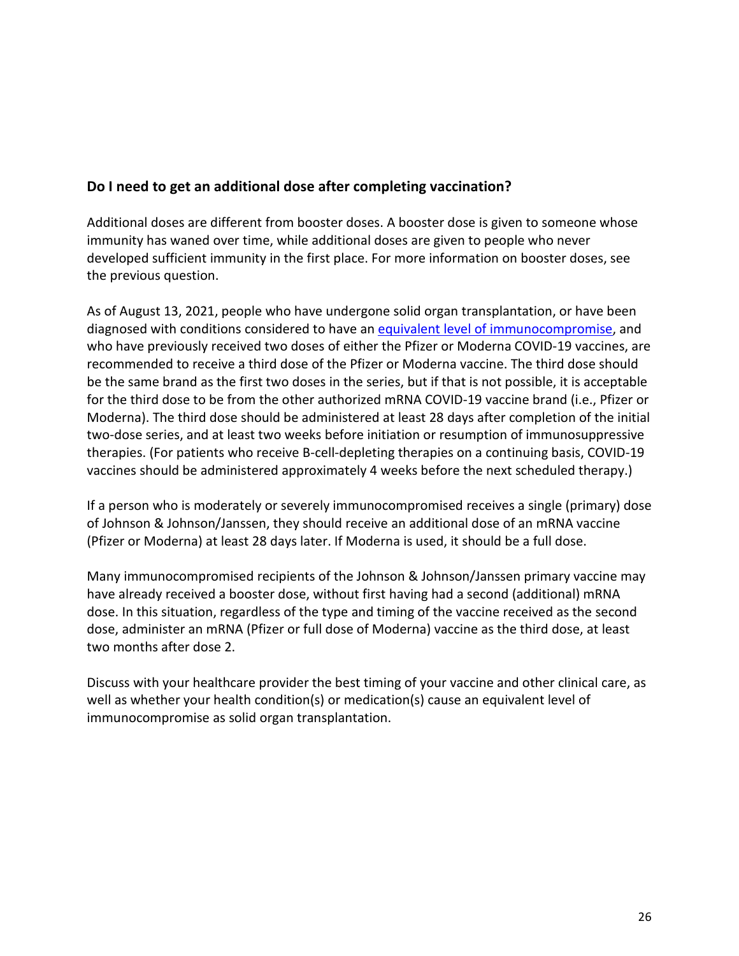# **Do I need to get an additional dose after completing vaccination?**

Additional doses are different from booster doses. A booster dose is given to someone whose immunity has waned over time, while additional doses are given to people who never developed sufficient immunity in the first place. For more information on booster doses, see the previous question.

As of August 13, 2021, people who have undergone solid organ transplantation, or have been diagnosed with conditions considered to have an [equivalent level of immunocompromise,](https://www.nmhealth.org/news/awareness/2021/8/?view=1613) and who have previously received two doses of either the Pfizer or Moderna COVID-19 vaccines, are recommended to receive a third dose of the Pfizer or Moderna vaccine. The third dose should be the same brand as the first two doses in the series, but if that is not possible, it is acceptable for the third dose to be from the other authorized mRNA COVID-19 vaccine brand (i.e., Pfizer or Moderna). The third dose should be administered at least 28 days after completion of the initial two-dose series, and at least two weeks before initiation or resumption of immunosuppressive therapies. (For patients who receive B-cell-depleting therapies on a continuing basis, COVID-19 vaccines should be administered approximately 4 weeks before the next scheduled therapy.)

If a person who is moderately or severely immunocompromised receives a single (primary) dose of Johnson & Johnson/Janssen, they should receive an additional dose of an mRNA vaccine (Pfizer or Moderna) at least 28 days later. If Moderna is used, it should be a full dose.

Many immunocompromised recipients of the Johnson & Johnson/Janssen primary vaccine may have already received a booster dose, without first having had a second (additional) mRNA dose. In this situation, regardless of the type and timing of the vaccine received as the second dose, administer an mRNA (Pfizer or full dose of Moderna) vaccine as the third dose, at least two months after dose 2.

Discuss with your healthcare provider the best timing of your vaccine and other clinical care, as well as whether your health condition(s) or medication(s) cause an equivalent level of immunocompromise as solid organ transplantation.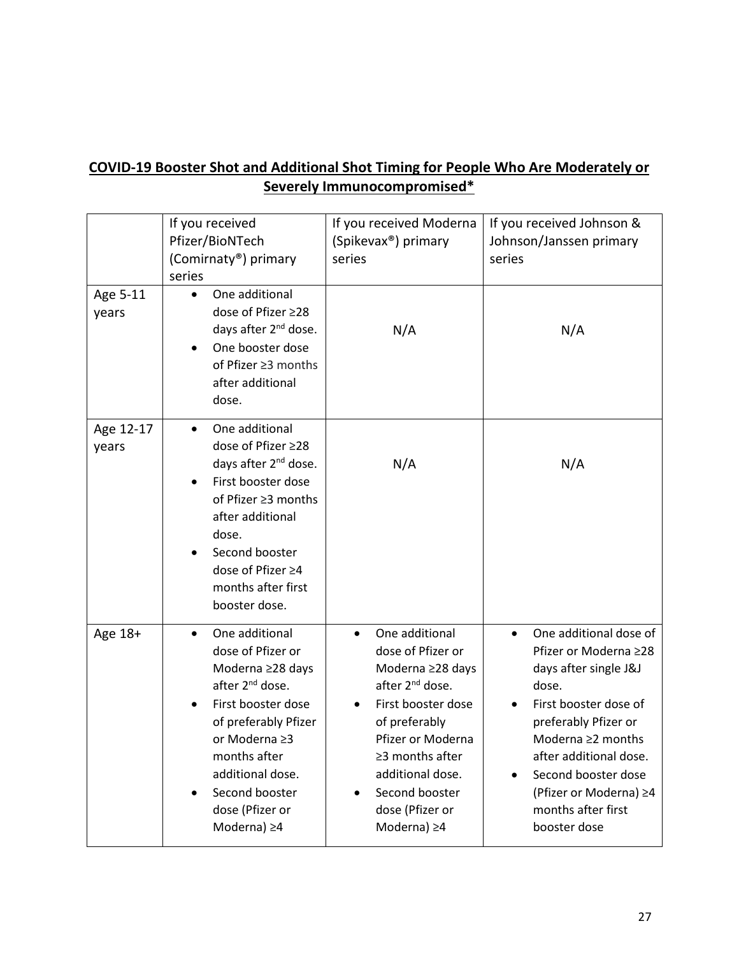# **COVID-19 Booster Shot and Additional Shot Timing for People Who Are Moderately or Severely Immunocompromised\***

|                    | If you received<br>Pfizer/BioNTech<br>(Comirnaty®) primary<br>series                                                                                                                                                                                             | If you received Moderna<br>(Spikevax <sup>®</sup> ) primary<br>series                                                                                                                                                                                                  | If you received Johnson &<br>Johnson/Janssen primary<br>series                                                                                                                                                                                                                        |
|--------------------|------------------------------------------------------------------------------------------------------------------------------------------------------------------------------------------------------------------------------------------------------------------|------------------------------------------------------------------------------------------------------------------------------------------------------------------------------------------------------------------------------------------------------------------------|---------------------------------------------------------------------------------------------------------------------------------------------------------------------------------------------------------------------------------------------------------------------------------------|
| Age 5-11<br>years  | One additional<br>$\bullet$<br>dose of Pfizer ≥28<br>days after 2 <sup>nd</sup> dose.<br>One booster dose<br>of Pfizer ≥3 months<br>after additional<br>dose.                                                                                                    | N/A                                                                                                                                                                                                                                                                    | N/A                                                                                                                                                                                                                                                                                   |
| Age 12-17<br>years | One additional<br>dose of Pfizer ≥28<br>days after 2 <sup>nd</sup> dose.<br>First booster dose<br>of Pfizer ≥3 months<br>after additional<br>dose.<br>Second booster<br>dose of Pfizer ≥4<br>months after first<br>booster dose.                                 | N/A                                                                                                                                                                                                                                                                    | N/A                                                                                                                                                                                                                                                                                   |
| Age 18+            | One additional<br>$\bullet$<br>dose of Pfizer or<br>Moderna ≥28 days<br>after 2 <sup>nd</sup> dose.<br>First booster dose<br>of preferably Pfizer<br>or Moderna ≥3<br>months after<br>additional dose.<br>Second booster<br>dose (Pfizer or<br>Moderna) $\geq 4$ | One additional<br>$\bullet$<br>dose of Pfizer or<br>Moderna ≥28 days<br>after 2 <sup>nd</sup> dose.<br>First booster dose<br>of preferably<br>Pfizer or Moderna<br>$\geq$ 3 months after<br>additional dose.<br>Second booster<br>dose (Pfizer or<br>Moderna) $\geq 4$ | One additional dose of<br>$\bullet$<br>Pfizer or Moderna ≥28<br>days after single J&J<br>dose.<br>First booster dose of<br>preferably Pfizer or<br>Moderna ≥2 months<br>after additional dose.<br>Second booster dose<br>(Pfizer or Moderna) ≥4<br>months after first<br>booster dose |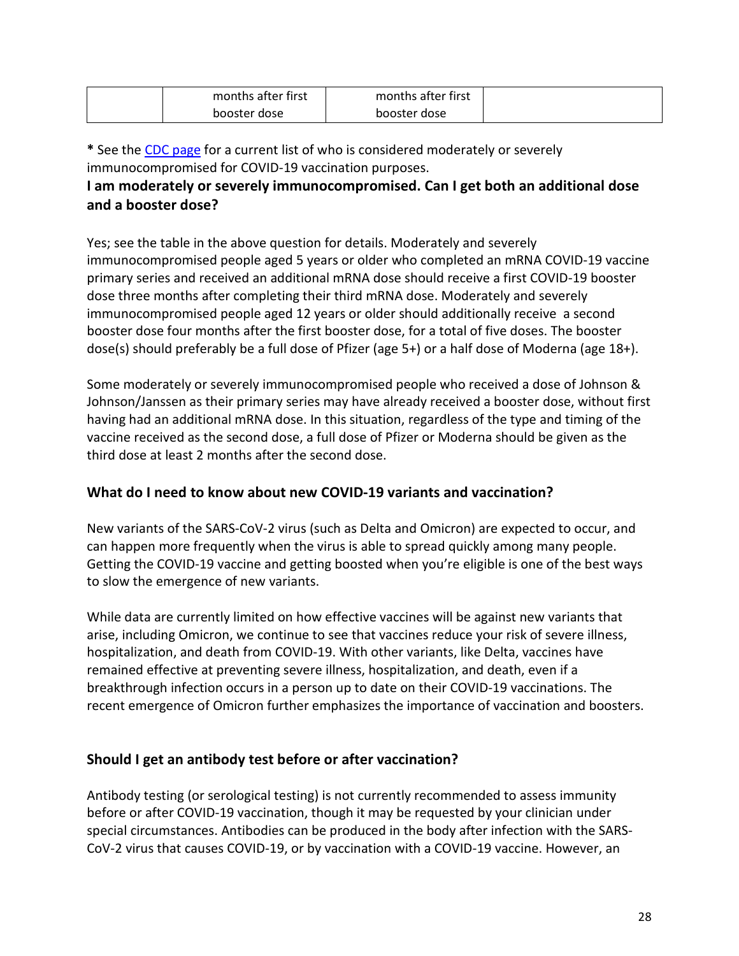| months after first | months after first |  |
|--------------------|--------------------|--|
| booster dose       | booster dose       |  |

**\*** See the [CDC page](https://www.cdc.gov/coronavirus/2019-ncov/vaccines/recommendations/immuno.html#mod) for a current list of who is considered moderately or severely immunocompromised for COVID-19 vaccination purposes.

# **I am moderately or severely immunocompromised. Can I get both an additional dose and a booster dose?**

Yes; see the table in the above question for details. Moderately and severely immunocompromised people aged 5 years or older who completed an mRNA COVID-19 vaccine primary series and received an additional mRNA dose should receive a first COVID-19 booster dose three months after completing their third mRNA dose. Moderately and severely immunocompromised people aged 12 years or older should additionally receive a second booster dose four months after the first booster dose, for a total of five doses. The booster dose(s) should preferably be a full dose of Pfizer (age 5+) or a half dose of Moderna (age 18+).

Some moderately or severely immunocompromised people who received a dose of Johnson & Johnson/Janssen as their primary series may have already received a booster dose, without first having had an additional mRNA dose. In this situation, regardless of the type and timing of the vaccine received as the second dose, a full dose of Pfizer or Moderna should be given as the third dose at least 2 months after the second dose.

# **What do I need to know about new COVID-19 variants and vaccination?**

New variants of the SARS-CoV-2 virus (such as Delta and Omicron) are expected to occur, and can happen more frequently when the virus is able to spread quickly among many people. Getting the COVID-19 vaccine and getting boosted when you're eligible is one of the best ways to slow the emergence of new variants.

While data are currently limited on how effective vaccines will be against new variants that arise, including Omicron, we continue to see that vaccines reduce your risk of severe illness, hospitalization, and death from COVID-19. With other variants, like Delta, vaccines have remained effective at preventing severe illness, hospitalization, and death, even if a breakthrough infection occurs in a person up to date on their COVID-19 vaccinations. The recent emergence of Omicron further emphasizes the importance of vaccination and boosters.

# **Should I get an antibody test before or after vaccination?**

Antibody testing (or serological testing) is not currently recommended to assess immunity before or after COVID-19 vaccination, though it may be requested by your clinician under special circumstances. Antibodies can be produced in the body after infection with the SARS-CoV-2 virus that causes COVID-19, or by vaccination with a COVID-19 vaccine. However, an